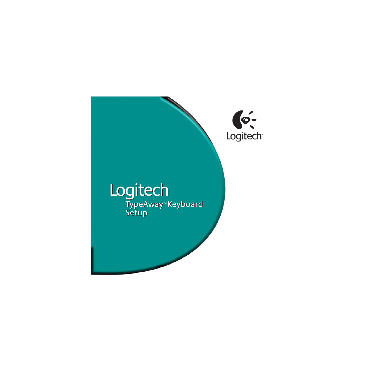

# Logitech® TypeAway<sup>™</sup> Keyboard Setup Setup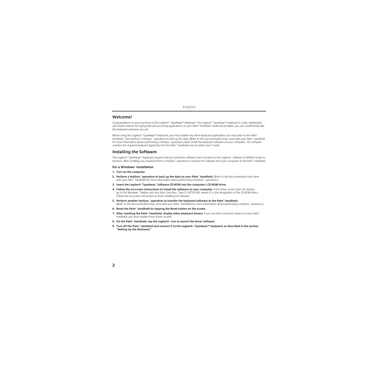## **Welcome!**

Congratulations on your purchase of the Logitech® TypeAway™ Keyboard. The Logitech® TypeAway™ keyboard is a slim, lightweight, and simple solution for typing text and accessing applications on your Palm™ handheld. Small and portable, you can conveniently take this keyboard wherever you are.

Before using the Logitech® TypeAway™ Keyboard, you must disable any other keyboard applications you may have on the Palm™ handheld. Then perform a HotSync® operation to back up the data. (Refer to the documentation that came with your Palm™ handheld for more information about performing a HotSync® operation.) Next, install the keyboard software on your computer. This software contains the required keyboard application for the Palm™ handheld and an online User's Guide.

## **Installing the Software**

The Logitech® TypeAway™ Keyboard requires that you install the software that is located on the Logitech® software CD-ROM in order to function. After installing, you should perform a HotSync® operation to transfer the software from your computer to the Palm™ handheld.

#### **For a Windows**®  **Installation**

- **1. Turn on the computer.**
- **2. Perform a HotSync**®  **operation to back up the data on your Palm**™ **handheld.** (Refer to the documentation that came with your Palm™ handheld for more information about performing a HotSync™ operation.)
- **3. Insert the Logitech**®  **TypeAway**™ **Software CD-ROM into the computer's CD-ROM drive.**
- **4. Follow the on-screen instructions to install the software on your computer.** If the Setup screen does not display, go to the Windows® Taskbar and click Start, then Run. Type D:\SETUP.EXE, where D: is the designation of the CD-ROM drive.) Follow the on-screen instructions to finish installing the software.
- **5. Perform another HotSync**®  **operation to transfer the keyboard software to the Palm**™ **handheld.** (Refer to the documentation that came with your Palm™ handheld for more information about performing a HotSync® operation.)
- **6. Reset the Palm**™ **handheld by tapping the Reset button on the screen.**
- **7. After resetting the Palm**™ **handheld, disable other keyboard drivers.** If you use other serial port devices on your Palm™ handheld, you must disable those drivers as well.
- **8. On the Palm**™ **handheld, tap the Logitech**®  **icon to launch the driver software.**
- **9. Turn off the Palm**™ **handheld and connect it to the Logitech**®  **TypeAway™ keyboard, as described in the section "Setting Up the Keyboard."**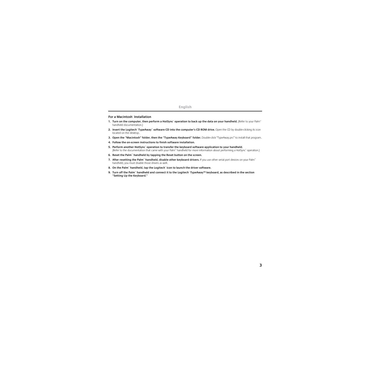#### **English**

#### **For a Macintosh**®  **Installation**

- **1. Turn on the computer, then perform a HotSync**®  **operation to back up the data on your handheld.** (Refer to your Palm™ handheld documentation.)
- **2. Insert the Logitech**®  **TypeAway**™ **software CD into the computer's CD ROM drive.** Open the CD by double-clicking its icon located on the desktop.
- **3. Open the "Macintosh" folder, then the "TypeAway Keyboard" folder.** Double-click "TypeAway.prc" to install that program.
- **4. Follow the on-screen instructions to finish software installation.**
- **5. Perform another HotSync**®  **operation to transfer the keyboard software application to your handheld.**  (Refer to the documentation that came with your Palm™ handheld for more information about performing a HotSync® operation.)
- **6. Reset the Palm**™ **handheld by tapping the Reset button on the screen.**
- **7. After resetting the Palm**™ **handheld, disable other keyboard drivers.** If you use other serial port devices on your Palm™ handheld, you must disable those drivers as well.
- **8. On the Palm**™ **handheld, tap the Logitech**®  **icon to launch the driver software.**
- **9. Turn off the Palm**™ **handheld and connect it to the Logitech**®  **TypeAway™ keyboard, as described in the section "Setting Up the Keyboard."**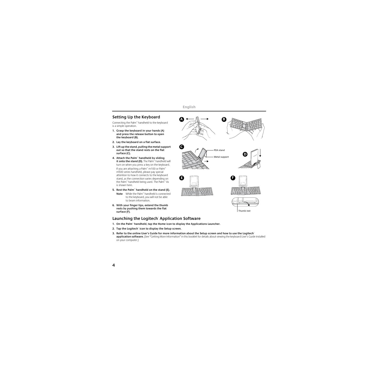# **Setting Up the Keyboard**

Connecting the Palm™ handheld to the keyboard is a simple operation.

- **1. Grasp the keyboard in your hands (A) and press the release button to open the keyboard (B).**
- **2. Lay the keyboard on a flat surface.**
- **3. Lift up the stand, pulling the metal support out so that the stand rests on the flat surface (C).**
- **4. Attach the Palm**™ **handheld by sliding it onto the stand (D).** The Palm™ handheld will turn on when you press a key on the keyboard.

If you are attaching a Palm™ m100 or Palm™ m500 series handheld, please pay special attention to how it connects to the keyboard stand, as the connection varies depending on the Palm™ handheld being used. The Palm™ Vx is shown here.

- **5. Rest the Palm**™ **handheld on the stand (E). Note** While the Palm™ handheld is connected to the keyboard, you will not be able to beam information.
- **6. With your finger tips, extend the thumb rests by pushing them towards the flat surface (F).**

# **Launching the Logitech**®  **Application Software**

- **1. On the Palm**™ **handheld, tap the Home icon to display the Applications Launcher.**
- **2. Tap the Logitech**®  **icon to display the Setup screen.**
- **3. Refer to the online User's Guide for more information about the Setup screen and how to use the Logitech**® **application software.** (See "Getting More Information" in this booklet for details about viewing the keyboard User's Guide installed on your computer.)



Thumb rest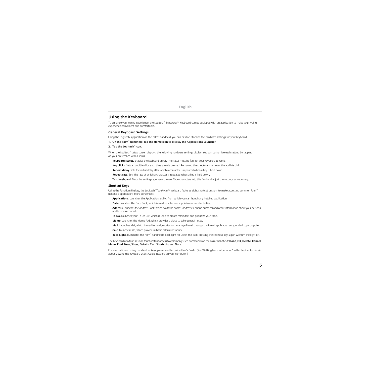## **Using the Keyboard**

To enhance your typing experience, the Logitech® TypeAway™ Keyboard comes equipped with an application to make your typing experience convenient and comfortable.

#### **General Keyboard Settings**

Using the Logitech® application on the Palm™ handheld, you can easily customize the hardware settings for your keyboard.

**1. On the Palm**™ **handheld, tap the Home icon to display the Applications Launcher.**

#### **2. Tap the Logitech**®  **icon.**

When the Logitech® setup screen displays, the following hardware settings display. You can customize each setting by tapping on your preference with a stylus.

**Keyboard status.** Enables the keyboard driver. The status must be [on] for your keyboard to work.

**Key clicks.** Sets an audible click each time a key is pressed. Removing the checkmark removes the audible click.

**Repeat delay.** Sets the initial delay after which a character is repeated when a key is held down.

**Repeat rate.** Sets the rate at which a character is repeated when a key is held down.

**Test keyboard.** Tests the settings you have chosen. Type characters into this field and adjust the settings as necessary.

#### **Shortcut Keys**

Using the Function (Fn) key, the Logitech® TypeAway™ keyboard features eight shortcut buttons to make accessing common Palm™ handheld applications more convenient.

**Applications.** Launches the Applications utility, from which you can launch any installed application.

**Date.** Launches the Date Book, which is used to schedule appointments and activities.

**Address.** Launches the Address Book, which holds the names, addresses, phone numbers and other information about your personal and business contacts.

**To Do.** Launches your To Do List, which is used to create reminders and prioritize your tasks.

**Memo.** Launches the Memo Pad, which provides a place to take general notes.

**Mail.** Launches Mail, which is used to send, receive and manage E-mail through the E-mail application on your desktop computer.

**Calc.** Launches Calc, which provides a basic calculator facility.

**Back Light.** Illuminates the Palm™ handheld's back light for use in the dark. Pressing the shortcut keys again will turn the light off.

The keyboard also features one touch instant access to commonly used commands on the Palm™ handheld: **Done**, **OK**, **Delete**, **Cancel**, **Menu**, **Find**, **New**, **Show**, **Details**, **Text Shortcuts**, and **Note**.

For information on using the shortcut keys, please see the online User's Guide. (See "Getting More Information" in this booklet for details about viewing the keyboard User's Guide installed on your computer.)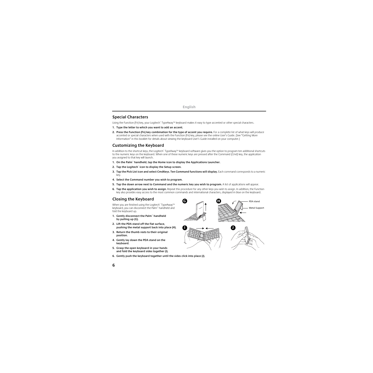# **Special Characters**

Using the Function (Fn) key, your Logitech® TypeAway™ keyboard makes it easy to type accented or other special characters.

- **1. Type the letter to which you want to add an accent.**
- **2. Press the Function (Fn) key combination for the type of accent you require.** For a complete list of what keys will produce accented or special characters when used with the Function (Fn) key, please see the online User's Guide. (See "Getting More Information" in this booklet for details about viewing the keyboard User's Guide installed on your computer.)

# **Customizing the Keyboard**

In addition to the shortcut keys, the Logitech® TypeAway™ keyboard software gives you the option to program ten additional shortcuts to the numeric keys on the keyboard. When one of these numeric keys are pressed after the Command (Cmd) key, the application you assigned to that key will launch.

- **1. On the Palm**™ **handheld, tap the Home icon to display the Applications Launcher.**
- **2. Tap the Logitech**®  **icon to display the Setup screen.**
- **3. Tap the Pick List icon and select CmdKeys. Ten Command functions will display.** Each command corresponds to a numeric key.
- **4. Select the Command number you wish to program.**
- **5. Tap the down arrow next to Command and the numeric key you wish to program.** A list of applications will appear.
- **6. Tap the application you wish to assign.** Repeat this procedure for any other keys you wish to assign. In addition, the Function key also provides easy access to the most common commands and international characters, displayed in blue on the keyboard.

# **Closing the Keyboard**

When you are finished using the Logitech® TypeAway™ keyboard, you can disconnect the Palm™ handheld and fold the keyboard up.

- **1. Gently disconnect the Palm**™ **handheld by pulling up (G).**
- **2. Lift the PDA stand off the flat surface, pushing the metal support back into place (H).**
- **3. Return the thumb rests to their original position.**
- **4. Gently lay down the PDA stand on the keyboard.**
- **5. Grasp the open keyboard in your hands and fold the keyboard sides together (I).**
- **6. Gently push the keyboard together until the sides click into place (J).**

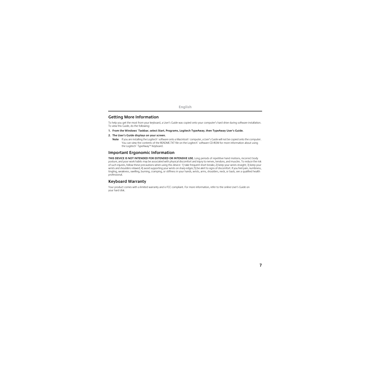## **Getting More Information**

To help you get the most from your keyboard, a User's Guide was copied onto your computer's hard drive during software installation. To view this Guide, do the following:

- **1. From the Windows**®  **Taskbar, select Start, Programs, Logitech TypeAway, then TypeAway User's Guide.**
- **2. The User's Guide displays on your screen.**
	- **Note** If you are installing the Logitech® software onto a Macintosh® computer, a User's Guide will not be copied onto the computer. You can view the contents of the README.TXT file on the Logitech® software CD-ROM for more information about using the Logitech® TypeAway™ Keyboard.

# **Important Ergonomic Information**

**THIS DEVICE IS NOT INTENDED FOR EXTENDED OR INTENSIVE USE.** Long periods of repetitive hand motions, incorrect body posture, and poor work habits may be associated with physical discomfort and injury to nerves, tendons, and muscles. To reduce the risk of such injuries, follow these precautions when using this device: 1) take frequent short breaks; 2) keep your wrists straight; 3) keep your wrists and shoulders relaxed; 4) avoid supporting your wrists on sharp edges; 5) be alert to signs of discomfort. If you feel pain, numbness, tingling, weakness, swelling, burning, cramping, or stiffness in your hands, wrists, arms, shoulders, neck, or back, see a qualified health professional.

# **Keyboard Warranty**

Your product comes with a limited warranty and is FCC compliant. For more information, refer to the online User's Guide on your hard disk.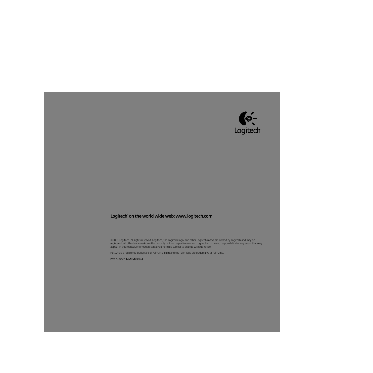

## **Logitech**®  **on the world wide web: www.logitech.com**

©2001 Logitech. All rights reserved. Logitech, the Logitech logo, and other Logitech marks are owned by Logitech and may be registered. All other trademarks are the property of their respective owners. Logitech assumes no responsibility for any errors that may appear in this manual. Information contained herein is subject to change without notice.

HotSync is a registered trademark of Palm, Inc. Palm and the Palm logo are trademarks of Palm, Inc.

Part number: **622958-0403**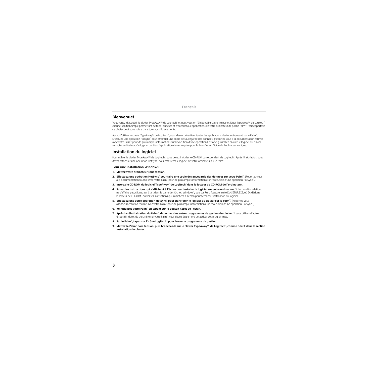### **Bienvenue!**

Vous venez d'acquérir le clavier TypeAway™ de Logitech® et nous vous en félicitons! Le clavier mince et léger TypeAway™ de Logitech® est une solution simple permettant de taper du texte et d'accéder aux applications de votre ordinateur de poche Palm™. Petit et portatif, ce clavier peut vous suivre dans tous vos déplacements.

Avant d'utiliser le clavier TypeAway™ de Logitech®, vous devez désactiver toutes les applications clavier se trouvant sur le Palm™. Effectuez une opération HotSync® pour effectuer une copie de sauvegarde des données. (Reportez-vous à la documentation fournie avec votre Palm™ pour de plus amples informations sur l'exécution d'une opération HotSync®.) Installez ensuite le logiciel du clavier sur votre ordinateur. Ce logiciel contient l'application clavier requise pour le Palm™ et un Guide de l'utilisateur en ligne.

## **Installation du logiciel**

Pour utiliser le clavier TypeAway™ de Logitech®, vous devez installer le CD-ROM correspondant de Logitech®. Après l'installation, vous devez effectuer une opération HotSync® pour transférer le logiciel de votre ordinateur sur le Palm™.

#### **Pour une installation Windows**®

- **1. Mettez votre ordinateur sous tension.**
- **2. Effectuez une opération HotSync**®  **pour faire une copie de sauvegarde des données sur votre Palm**™**.** (Reportez-vous à la documentation fournie avec votre Palm™ pour de plus amples informations sur l'exécution d'une opération HotSync™.)
- **3. Insérez le CD-ROM du logiciel TypeAway**™ **de Logitech**®  **dans le lecteur de CD-ROM de l'ordinateur.**
- **4. Suivez les instructions qui s'affichent à l'écran pour installer le logiciel sur votre ordinateur.** Si l'écran d'installation ne s'affiche pas, cliquez sur Start dans la barre des tâches Windows", puis sur Run. Tapez ensuite D:\SETUP.EXE, où D: désigne le lecteur de CD-ROM.) Suivez les instructions qui s'affichent à l'écran pour terminer l'installation du logiciel.
- **5. Effectuez une autre opération HotSync**®  **pour transférer le logiciel du clavier sur le Palm**™**.** (Reportez-vous à la documentation fournie avec votre Palm™ pour de plus amples informations sur l'exécution d'une opération HotSync® .)
- **6. Réinitialisez votre Palm**™ **en tapant sur le bouton Reset de l'écran.**
- **7. Après la réinitialisation du Palm**™**, désactivez les autres programmes de gestion du clavier.** Si vous utilisez d'autres dispositifs dotés de port série sur votre Palm™, vous devez également désactiver ces programmes.
- **8. Sur le Palm**™**, tapez sur l'icône Logitech**®  **pour lancer le programme de gestion.**
- **9. Mettez le Palm**™ **hors tension, puis branchez-le sur le clavier TypeAway™ de Logitech**® **, comme décrit dans la section Installationdu clavier.**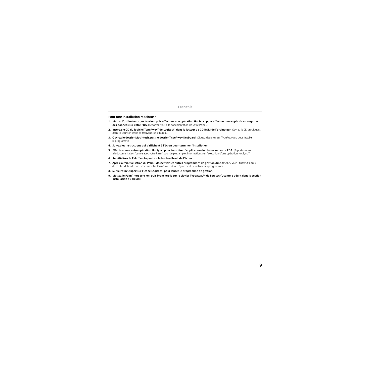#### **Pour une installation Macintosh**®

- **1. Mettez l'ordinateur sous tension, puis effectuez une opération HotSync**®  **pour effectuer une copie de sauvegarde des données sur votre PDA.** (Reportez-vous à la documentation de votre Palm™.)
- **2. Insérez le CD du logiciel TypeAway™ de Logitech® dans le lecteur de CD-ROM de l'ordinateur. Ouvrez le CD en cliquant** deux fois sur son icône se trouvant sur le bureau.
- **3. Ouvrez le dossier Macintosh, puis le dossier TypeAway Keyboard.** Cliquez deux fois sur TypeAway.prc pour installer le programme.
- **4. Suivez les instructions qui s'affichent à l'écran pour terminer l'installation.**
- **5. Effectuez une autre opération HotSync<sup>®</sup> pour transférer l'application du clavier sur votre PDA. (Reportez-vous** à la documentation fournie avec votre Palm™ pour de plus amples informations sur l'exécution d'une opération HotSync® .)
- **6. Réinitialisez le Palm**™ **en tapant sur le bouton Reset de l'écran.**
- **7. Après la réinitialisation du Palm**™**, désactivez les autres programmes de gestion du clavier.** Si vous utilisez d'autres dispositifs dotés de port série sur votre Palm™, vous devez également désactiver ces programmes.
- **8. Sur le Palm**™**, tapez sur l'icône Logitech**®  **pour lancer le programme de gestion.**
- **9. Mettez le Palm**™ **hors tension, puis branchez-le sur le clavier TypeAway™ de Logitech**® **, comme décrit dans la section Installation du clavier.**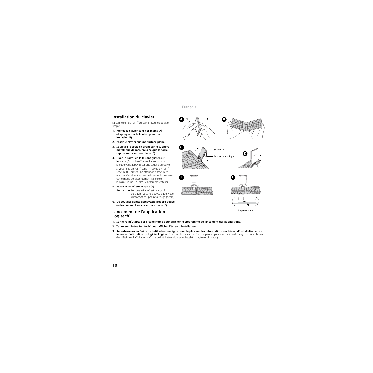# **Installation du clavier**

La connexion du Palm™ au clavier est une opération simple.

- **1. Prenez le clavier dans vos mains (A) et appuyez sur le bouton pour ouvrir le clavier (B).**
- **2. Posez le clavier sur une surface plane.**
- **3. Soulevez le socle en tirant sur le support métallique de manière à ce que le socle repose sur la surface plane (C).**
- **4. Fixez le Palm**™ **en le faisant glisser sur le socle (D).** Le Palm™ se met sous tension lorsque vous appuyez sur une touche du clavier.

Si vous fixez un Palm™ série m100 ou un Palm™ série m500, prêtez une attention particulière à la manière dont il se raccorde au socle du clavier, car le mode de raccordement varie selon le Palm™ utilisé. Le Palm™ Vx estreprésenté ici.

**5. Posez le Palm**™ **sur le socle (E).**

**Remarque** Lorsque le Palm™ est raccordé au clavier, vous ne pouvez pas envoyer d'informations par infra-rouge (beam).

**6. Du bout des doigts, déployez les repose-pouce en les poussant vers la surface plane (F).**

## **Lancement de l'application Logitech**®

- **1. Sur le Palm**™**, tapez sur l'icône Home pour afficher le programme de lancement des applications.**
- **2. Tapez sur l'icône Logitech**®  **pour afficher l'écran d'installation.**
- **3. Reportez-vous au Guide de l'utilisateur en ligne pour de plus amples informations sur l'écran d'installation et sur le mode d'utilisation du logiciel Logitech**® **.** (Consultez la section Pour de plus amples informations de ce guide pour obtenir des détails sur l'affichage du Guide de l'utilisateur du clavier installé sur votre ordinateur.)

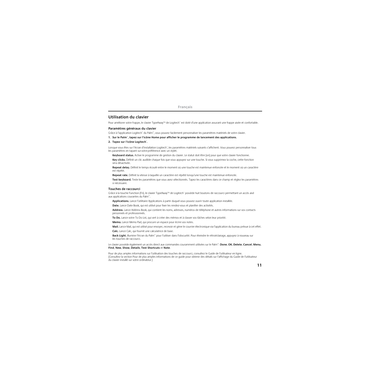## **Utilisation du clavier**

Pour améliorer votre frappe, le clavier TypeAway™ de Logitech® est doté d'une application assurant une frappe aisée et confortable.

#### **Paramètres généraux du clavier**

Grâce à l'application Logitech® du Palm™, vous pouvez facilement personnaliser les paramètres matériels de votre clavier.

#### **1. Sur le Palm**™**, tapez sur l'icône Home pour afficher le programme de lancement des applications.**

#### **2. Tapez sur l'icône Logitech**® **.**

Lorsque vous êtes sur l'écran d'installation Logitech®, les paramètres matériels suivants s'affichent. Vous pouvez personnaliser tous les paramètres en tapant sur votre préférence avec un stylet.

**Keyboard status.** Active le programme de gestion du clavier. Le statut doit être [on] pour que votre clavier fonctionne.

**Key clicks.** Définit un clic audible chaque fois que vous appuyez sur une touche. Si vous supprimez la coche, cette fonction sera désactivée.

**Repeat delay.** Définit le temps écoulé entre le moment où une touche est maintenue enfoncée et le moment où un caractère est répété.

**Repeat rate.** Définit la vitesse à laquelle un caractère est répété lorsqu'une touche est maintenue enfoncée.

**Test keyboard.** Teste les paramètres que vous avez sélectionnés. Tapez les caractères dans ce champ et réglez les paramètres si nécessaire.

#### **Touches de raccourci**

Grâce à la touche Function (Fn), le clavier TypeAway™ de Logitech® possède huit boutons de raccourci permettant un accès aisé aux applications courantes du Palm™.

**Applications.** Lance l'utilitaire Applications à partir duquel vous pouvez ouvrir toute application installée.

**Date.** Lance Date Book, qui est utilisé pour fixer les rendez-vous et planifier des activités.

**Address.** Lance Address Book, qui contient les noms, adresses, numéros de téléphone et autres informations sur vos contacts personnels et professionnels.

**To Do.** Lance votre To Do List, qui sert à créer des mémos et à classer vos tâches selon leur priorité.

**Memo.** Lance Memo Pad, qui procure un espace pour écrire vos notes.

**Mail.** Lance Mail, qui est utilisé pour envoyer, recevoir et gérer le courrier électronique via l'application du bureau prévue à cet effet.

**Calc.** Lance Calc, qui fournit une calculatrice de base.

**Back Light.** Illumine l'écran du Palm™ pour l'utiliser dans l'obscurité. Pour éteindre le rétroéclairage, appuyez à nouveau sur les touches de raccourci.

Le clavier possède également un accès direct aux commandes couramment utilisées sur le Palm™: **Done**, **OK**, **Delete**, **Cancel**, **Menu**, **Find**, **New**, **Show**, **Details**, **Text Shortcuts** et **Note**.

Pour de plus amples informations sur l'utilisation des touches de raccourci, consultez le Guide de l'utilisateur en ligne. (Consultez la section Pour de plus amples informations de ce guide pour obtenir des détails sur l'affichage du Guide de l'utilisateur du clavier installé sur votre ordinateur.)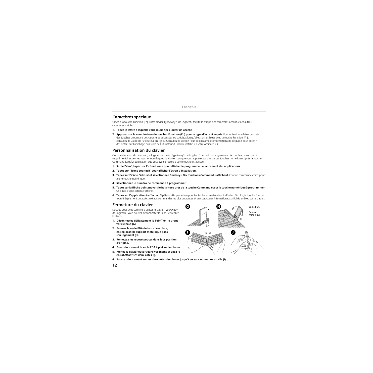# **Caractères spéciaux**

Grâce à la touche Function (Fn), votre clavier TypeAway™ de Logitech® facilite la frappe des caractères accentués et autres caractères spéciaux.

- **1. Tapez la lettre à laquelle vous souhaitez ajouter un accent.**
- **2. Appuyez sur la combinaison de touches Function (Fn) pour le type d'accent requis.** Pour obtenir une liste complète des touches produisant des caractères accentués ou spéciaux lorsqu'elles sont utilisées avec la touche Function (Fn), consultez le Guide de l'utilisateur en ligne. (Consultez la section Pour de plus amples informations de ce guide pour obtenir des détails sur l'affichage du Guide de l'utilisateur du clavier installé sur votre ordinateur.)

# **Personnalisation du clavier**

Outre les touches de raccourci, le logiciel du clavier TypeAway™ de Logitech® permet de programmer dix touches de raccourci supplémentaires versles touches numériques du clavier. Lorsque vous appuyez sur une de ces touches numériques après la touche Command (Cmd), l'application que vous avez affectée à cette touche est lancée.

- **1. Sur le Palm**™**, tapez sur l'icône Home pour afficher le programme de lancement des applications.**
- **2. Tapez sur l'icône Logitech**®  **pour afficher l'écran d'installation.**
- **3. Tapez sur l'icône Pick List et sélectionnez CmdKeys. Dix fonctions Command s'affichent.** Chaque commande correspond à une touche numérique.
- **4. Sélectionnez le numéro de commande à programmer.**
- **5. Tapez sur la flèche pointant vers le bas située près de la touche Command et sur la touche numérique à programmer.**  Une liste d'applications s'affiche.
- **6. Tapez sur l'application à affecter.** Répétez cette procédure pour toutes les autres touches à affecter. De plus, la touche Function fournit également un accès aisé aux commandes les plus courantes et aux caractères internationaux affichés en bleu sur le clavier.

# **Fermeture du clavier**

Lorsque vous avez terminé d'utiliser le clavier TypeAway™ de Logitech®, vous pouvez déconnecter le Palm™ et replier le clavier.

- **1. Déconnectez délicatement le Palm**™ **en le tirant vers le haut (G).**
- **2. Enlevez le socle PDA de la surface plate, en replaçantle support métallique dans son logement (H).**
- **3. Remettez les repose-pouces dans leur position d'origine.**
- **4. Posez doucement le socle PDA à plat sur le clavier.**
- **5. Prenez le clavier ouvert dans vos mains etpliez-le en rabattant ses deux côtés (I).**



**6. Poussez doucement sur les deux côtés du clavier jusqu'à ce vous entendiez un clic (J).**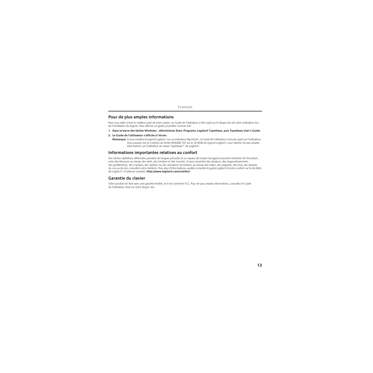## **Pour de plus amples informations**

Pour vous aider à tirer le meilleur parti de votre clavier, un Guide de l'utilisateur a été copié sur le disque dur de votre ordinateur lors de l'installation du logiciel. Pour afficher ce guide, procédez comme suit:

- **1. Dans la barre des tâches Windows**® **, sélectionnez Start, Programs, Logitech TypeAway, puis TypeAway User's Guide.**
- **2. Le Guide de l'utilisateur s'affiche à l'écran.**
	- **Remarque** Si vous installez le logiciel Logitech® sur un ordinateur Macintosh®, le Guide de l'utilisateur n'est pas copié sur l'ordinateur. Vous pouvez voir le contenu du fichier README.TXT sur le CD-ROM du logiciel Logitech® pour obtenir de plus amples informations sur l'utilisation du clavier TypeAway™ de Logitech®.

## **Informations importantes relatives au confort**

Des tâches répétitives effectuées pendant de longues périodes et un espace de travail mal agencé peuvent entraîner de l'inconfort, voire des blessures au niveau des nerfs, des tendons et des muscles. Si vous ressentez des douleurs, des engourdissements, des gonflements, des crampes, des raideurs ou des sensations de brûlure, au niveau des mains, des poignets, des bras, des épaules, du cou ou du dos, consultez votre médecin. Pour plus d'informations, veuillez consulter le guide Logitech et votre confort sur le site Web de Logitech® à l'adresse suivante: **http://www.logitech.com/comfort**.

## **Garantie du clavier**

Votre produit est livré avec une garantie limitée, et il est conforme FCC. Pour de plus amples informations, consultez le Guide de l'utilisateur situé sur votre disque dur.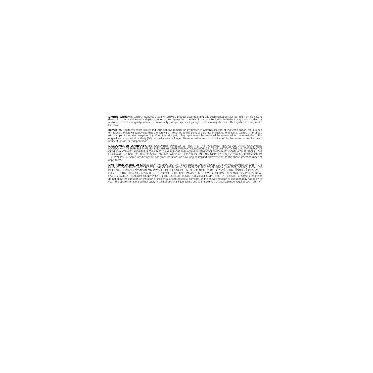**Limited Warranty.** Logitech warrants that any hardware product accompanying this documentation shall be free from significant<br>defects in material and workmanship for a period of one (1) year from the date of purchase. Log and is limited to the original purchaser. This warranty gives you specific legal rights, and you may also have other rights which vary under<br>Jocal Jaws

**Remedies.** Logitech's entire liability and your exclusive remedy for any breach of warranty shall be, at Logitech's option, to: (a) repair<br>or replace the hardware, provided that the hardware is returned to the point of pu original warranty period or thirty (30) days whichever is longer. These remedies are void if failure of the bardware has resulted from accident, abuse, or misapplication.

**DISCLAIMER OF WARRANTY.** THE WARRANTIES EXPRESSLY SET FORTH IN THIS AGREEMENT REPLACE ALL OTHER WARRANTIES. LOGITECH AND ITS SUPPLIERS EXPRESSLY DISCLAIM ALL OTHER WARRANTIES, INCLUDING, BUT NOT LIMITED TO, THE IMPLIED WARRANTIES OF MERCHANTABILITY AND FITNESS FOR A PARTICULAR PURPOSE AND NONINFRINGEMENT OF THIRD-PARTY RIGHTS WITH RESPECT TO THE HARDWARE. NO LOGITECH DEALER, AGENT, OR EMPLOYEE IS AUTHORIZED TO MAKE ANY MODIFICATION, EXTENSION, OR ADDITION TO THIS WARRANTY. Some jurisdictions do not allow limitations on how long an implied warranty lasts, so the above limitation may not apply to you.

**LIMITATION OF LIABILITY.** IN NO EVENT WILL LOGITECH OR ITS SUPPLIERS BE LIABLE FOR ANY COSTS OF PROCUREMENT OF SUBSTITUTE PRODUCTS OR SERVICES, LOST PROFITS, LOSS OF INFORMATION OR DATA, OR ANY OTHER SPECIAL, INDIRECT, CONSEQUENTIAL, OR INCIDENTAL DAMAGES ARISING IN ANY WAY OUT OF THE SALE OF, USE OF, OR INABILITY TO USE ANY LOGITECH PRODUCT OR SERVICE, EVEN IF LOGITECH HAS BEEN ADVISED OF THE POSSIBILITY OF SUCH DAMAGES. IN NO CASE SHALL LOGITECH'S AND ITS SUPPLIERS' TOTAL LIABILITY EXCEED THE ACTUAL MONEY PAID FOR THE LOGITECH PRODUCT OR SERVICE GIVING RISE TO THE LIABILITY. Some jurisdictions do not allow the exclusion or limitation of incidental or consequential damages, so the above limitation or exclusion may not apply to you. The above limitations will not apply in case of personal injury where and to the extent that applicable law requires such liability.